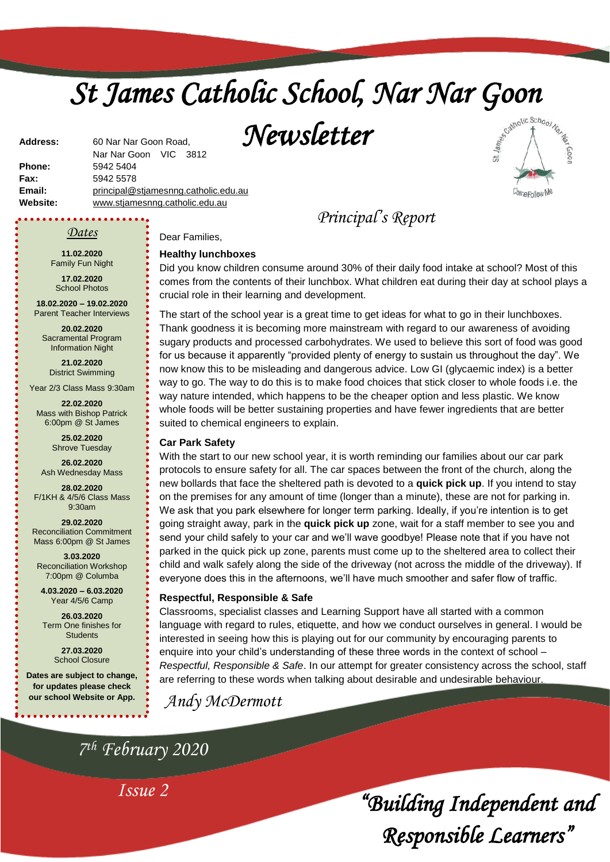# *St James Catholic School, Nar Nar Goon*

*Newsletter* 



**Phone:** 5942 5404 **Fax:** 5942 5578 **Email:** [principal@stjamesnng.catholic.edu.au](mailto:principal@stjames.catholic.edu.au) **Website:** [www.stjamesnng.catholic.edu.au](http://www.stjamesnng.catholic.edu.au/)

Nar Nar Goon VIC 3812

### *Dates*

**Address:** 60 Nar Nar Goon Road,

**11.02.2020** Family Fun Night

**17.02.2020** School Photos

**18.02.2020 – 19.02.2020** Parent Teacher Interviews

**20.02.2020** Sacramental Program Information Night

**21.02.2020** District Swimming

Year 2/3 Class Mass 9:30am

**22.02.2020** Mass with Bishop Patrick 6:00pm @ St James

> **25.02.2020** Shrove Tuesday

**26.02.2020** Ash Wednesday Mass

**28.02.2020** F/1KH & 4/5/6 Class Mass 9:30am

**29.02.2020** Reconciliation Commitment Mass 6:00pm @ St James

**3.03.2020** Reconciliation Workshop 7:00pm @ Columba

**4.03.2020 – 6.03.2020** Year 4/5/6 Camp

**26.03.2020** Term One finishes for **Students** 

> **27.03.2020** School Closure

**Dates are subject to change, for updates please check our school Website or App.**

Dear Families,

### **Healthy lunchboxes**

Did you know children consume around 30% of their daily food intake at school? Most of this comes from the contents of their lunchbox. What children eat during their day at school plays a crucial role in their learning and development.

*Principal's Report*

The start of the school year is a great time to get ideas for what to go in their lunchboxes. Thank goodness it is becoming more mainstream with regard to our awareness of avoiding sugary products and processed carbohydrates. We used to believe this sort of food was good for us because it apparently "provided plenty of energy to sustain us throughout the day". We now know this to be misleading and dangerous advice. Low GI (glycaemic index) is a better way to go. The way to do this is to make food choices that stick closer to whole foods i.e. the way nature intended, which happens to be the cheaper option and less plastic. We know whole foods will be better sustaining properties and have fewer ingredients that are better suited to chemical engineers to explain.

### **Car Park Safety**

With the start to our new school year, it is worth reminding our families about our car park protocols to ensure safety for all. The car spaces between the front of the church, along the new bollards that face the sheltered path is devoted to a **quick pick up**. If you intend to stay on the premises for any amount of time (longer than a minute), these are not for parking in. We ask that you park elsewhere for longer term parking. Ideally, if you're intention is to get going straight away, park in the **quick pick up** zone, wait for a staff member to see you and send your child safely to your car and we'll wave goodbye! Please note that if you have not parked in the quick pick up zone, parents must come up to the sheltered area to collect their child and walk safely along the side of the driveway (not across the middle of the driveway). If everyone does this in the afternoons, we'll have much smoother and safer flow of traffic.

### **Respectful, Responsible & Safe**

Classrooms, specialist classes and Learning Support have all started with a common language with regard to rules, etiquette, and how we conduct ourselves in general. I would be interested in seeing how this is playing out for our community by encouraging parents to enquire into your child's understanding of these three words in the context of school – *Respectful, Responsible & Safe*. In our attempt for greater consistency across the school, staff are referring to these words when talking about desirable and undesirable behaviour.

*Andy McDermott*

*7 th February 2020*

*Issue 2*

*"Building Independent and Responsible Learners"*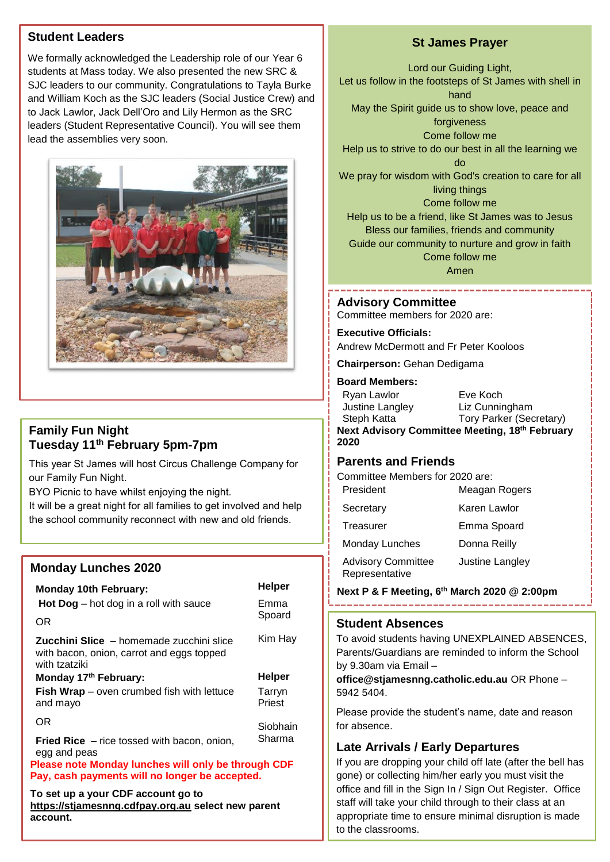# **Student Leaders**

We formally acknowledged the Leadership role of our Year 6 students at Mass today. We also presented the new SRC & SJC leaders to our community. Congratulations to Tayla Burke and William Koch as the SJC leaders (Social Justice Crew) and to Jack Lawlor, Jack Dell'Oro and Lily Hermon as the SRC leaders (Student Representative Council). You will see them lead the assemblies very soon.



# **Family Fun Night Tuesday 11th February 5pm-7pm**

This year St James will host Circus Challenge Company for our Family Fun Night.

BYO Picnic to have whilst enjoying the night.

It will be a great night for all families to get involved and help the school community reconnect with new and old friends.

# **Monday Lunches 2020**

### **Monday 10th February: Helper Hot Dog** – hot dog in a roll with sauce OR **Zucchini Slice** – homemade zucchini slice with bacon, onion, carrot and eggs topped with tzatziki Emma Spoard Kim Hay **Monday 17<sup>th</sup> February: Helper Fish Wrap** – oven crumbed fish with lettuce and mayo OR **Fried Rice** – rice tossed with bacon, onion, egg and peas Tarryn **Priest Siobhain** Sharma **Please note Monday lunches will only be through CDF Pay, cash payments will no longer be accepted.**

**To set up a your CDF account go to [https://stjamesnng.cdfpay.org.au](https://stjamesnng.cdfpay.org.au/) select new parent account.**

# **St James Prayer**

Lord our Guiding Light, Let us follow in the footsteps of St James with shell in hand May the Spirit guide us to show love, peace and forgiveness Come follow me Help us to strive to do our best in all the learning we do We pray for wisdom with God's creation to care for all living things Come follow me Help us to be a friend, like St James was to Jesus Bless our families, friends and community Guide our community to nurture and grow in faith Come follow me

Amen

# **Advisory Committee**

Committee members for 2020 are:

**Executive Officials:**

Andrew McDermott and Fr Peter Kooloos

**Chairperson:** Gehan Dedigama

### **Board Members:**

| Ryan Lawlor                                    | Eve Koch                |  |
|------------------------------------------------|-------------------------|--|
| Justine Langley                                | Liz Cunningham          |  |
| Steph Katta                                    | Tory Parker (Secretary) |  |
| Next Advisory Committee Meeting, 18th February |                         |  |
| 2020                                           |                         |  |

# **Parents and Friends**

Committee Members for 2020 are:

| President                                   | Meagan Rogers   |
|---------------------------------------------|-----------------|
| Secretary                                   | Karen Lawlor    |
| Treasurer                                   | Emma Spoard     |
| <b>Monday Lunches</b>                       | Donna Reilly    |
| <b>Advisory Committee</b><br>Representative | Justine Langley |

**Next P & F Meeting, 6th March 2020 @ 2:00pm**

## **Student Absences**

To avoid students having UNEXPLAINED ABSENCES, Parents/Guardians are reminded to inform the School by 9.30am via Email –

**office@stjamesnng.catholic.edu.au** OR Phone – 5942 5404.

Please provide the student's name, date and reason for absence.

# **Late Arrivals / Early Departures**

office and fill in the Sign In / Sign Out Register. Office If you are dropping your child off late (after the bell has gone) or collecting him/her early you must visit the staff will take your child through to their class at an appropriate time to ensure minimal disruption is made to the classrooms.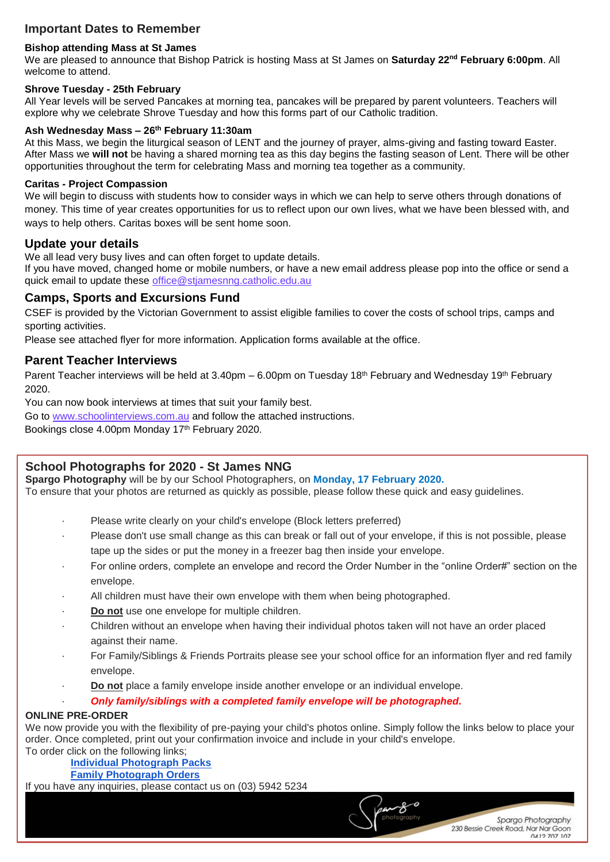# **Important Dates to Remember**

### **Bishop attending Mass at St James**

We are pleased to announce that Bishop Patrick is hosting Mass at St James on **Saturday 22nd February 6:00pm**. All welcome to attend.

### **Shrove Tuesday - 25th February**

All Year levels will be served Pancakes at morning tea, pancakes will be prepared by parent volunteers. Teachers will explore why we celebrate Shrove Tuesday and how this forms part of our Catholic tradition.

### **Ash Wednesday Mass – 26th February 11:30am**

At this Mass, we begin the liturgical season of LENT and the journey of prayer, alms-giving and fasting toward Easter. After Mass we **will not** be having a shared morning tea as this day begins the fasting season of Lent. There will be other opportunities throughout the term for celebrating Mass and morning tea together as a community.

### **Caritas - Project Compassion**

We will begin to discuss with students how to consider ways in which we can help to serve others through donations of money. This time of year creates opportunities for us to reflect upon our own lives, what we have been blessed with, and ways to help others. Caritas boxes will be sent home soon.

### **Update your details**

We all lead very busy lives and can often forget to update details.

If you have moved, changed home or mobile numbers, or have a new email address please pop into the office or send a quick email to update these [office@stjamesnng.catholic.edu.au](mailto:office@stjamesnng.catholic.edu.au)

### **Camps, Sports and Excursions Fund**

CSEF is provided by the Victorian Government to assist eligible families to cover the costs of school trips, camps and sporting activities.

Please see attached flyer for more information. Application forms available at the office.

### **Parent Teacher Interviews**

Parent Teacher interviews will be held at 3.40pm – 6.00pm on Tuesday 18<sup>th</sup> February and Wednesday 19<sup>th</sup> February 2020.

You can now book interviews at times that suit your family best.

Go to [www.schoolinterviews.com.au](http://www.schoolinterviews.com.au/) and follow the attached instructions.

Bookings close 4.00pm Monday 17th February 2020.

# **School Photographs for 2020 - St James NNG**

**Spargo Photography** will be by our School Photographers, on **Monday, 17 February 2020.**

To ensure that your photos are returned as quickly as possible, please follow these quick and easy guidelines.

- Please write clearly on your child's envelope (Block letters preferred)
- Please don't use small change as this can break or fall out of your envelope, if this is not possible, please tape up the sides or put the money in a freezer bag then inside your envelope.
- For online orders, complete an envelope and record the Order Number in the "online Order#" section on the envelope.
- All children must have their own envelope with them when being photographed.
- Do not use one envelope for multiple children.
- · Children without an envelope when having their individual photos taken will not have an order placed against their name.
- · For Family/Siblings & Friends Portraits please see your school office for an information flyer and red family envelope.
- · **Do not** place a family envelope inside another envelope or an individual envelope.

### · *Only family/siblings with a completed family envelope will be photographed.*

### **ONLINE PRE-ORDER**

We now provide you with the flexibility of pre-paying your child's photos online. Simply follow the links below to place your order. Once completed, print out your confirmation invoice and include in your child's envelope. To order click on the following links;

# **[Individual Photograph Packs](http://www.spargophoto.com.au/purchase/#!/~/category/id=8895350&offset=0&sort=nameAsc)**

 **[Family Photograph Orders](http://www.spargophoto.com.au/purchase/#!/~/category/id=8517895&offset=0&sort=nameAsc)**

If you have any inquiries, please contact us on (03) 5942 5234

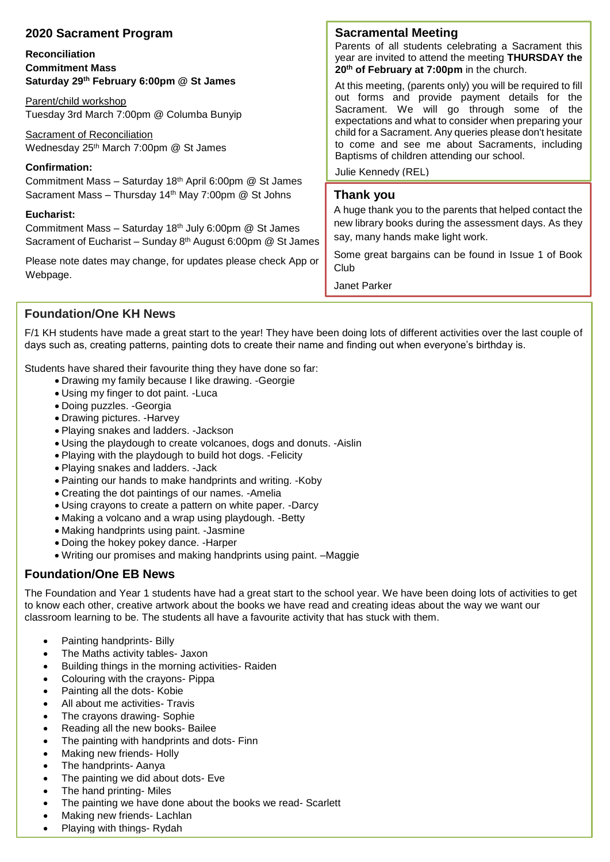| 2020 Sacrament Program                                                                                                      | <b>Sacramental Meeting</b>                                                                                                                               |
|-----------------------------------------------------------------------------------------------------------------------------|----------------------------------------------------------------------------------------------------------------------------------------------------------|
| <b>Reconciliation</b><br><b>Commitment Mass</b>                                                                             | Parents of all students celebrating a Sacrament this<br>year are invited to attend the meeting THURSDAY the<br>20th of February at 7:00pm in the church. |
| Saturday 29th February 6:00pm @ St James                                                                                    | At this meeting, (parents only) you will be required to fill                                                                                             |
| Parent/child workshop<br>Tuesday 3rd March 7:00pm @ Columba Bunyip                                                          | out forms and provide payment details for the<br>Sacrament. We will go through some of the<br>expectations and what to consider when preparing your      |
| Sacrament of Reconciliation<br>Wednesday 25 <sup>th</sup> March 7:00pm @ St James                                           | child for a Sacrament. Any queries please don't hesitate<br>to come and see me about Sacraments, including<br>Baptisms of children attending our school. |
| <b>Confirmation:</b>                                                                                                        | Julie Kennedy (REL)                                                                                                                                      |
| Commitment Mass - Saturday 18th April 6:00pm @ St James<br>Sacrament Mass - Thursday 14 <sup>th</sup> May 7:00pm @ St Johns | Thank you                                                                                                                                                |
| Eucharist:<br>Commitment Mass - Saturday 18th July 6:00pm @ St James                                                        | A huge thank you to the parents that helped contact the<br>new library books during the assessment days. As they                                         |
| Sacrament of Eucharist - Sunday 8th August 6:00pm @ St James                                                                | say, many hands make light work.                                                                                                                         |
| Please note dates may change, for updates please check App or<br>Webpage.                                                   | Some great bargains can be found in Issue 1 of Book<br>Club                                                                                              |
|                                                                                                                             | Janet Parker                                                                                                                                             |

**Foundation/One KH News**

F/1 KH students have made a great start to the year! They have been doing lots of different activities over the last couple of days such as, creating patterns, painting dots to create their name and finding out when everyone's birthday is.

Students have shared their favourite thing they have done so far:

- Drawing my family because I like drawing. -Georgie
- Using my finger to dot paint. -Luca
- Doing puzzles. -Georgia
- Drawing pictures. -Harvey
- Playing snakes and ladders. -Jackson
- Using the playdough to create volcanoes, dogs and donuts. -Aislin
- Playing with the playdough to build hot dogs. -Felicity
- Playing snakes and ladders. -Jack
- Painting our hands to make handprints and writing. -Koby
- Creating the dot paintings of our names. -Amelia
- Using crayons to create a pattern on white paper. -Darcy
- Making a volcano and a wrap using playdough. -Betty
- Making handprints using paint. -Jasmine
- Doing the hokey pokey dance. -Harper
- Writing our promises and making handprints using paint. –Maggie

# **Foundation/One EB News**

The Foundation and Year 1 students have had a great start to the school year. We have been doing lots of activities to get to know each other, creative artwork about the books we have read and creating ideas about the way we want our classroom learning to be. The students all have a favourite activity that has stuck with them.

- Painting handprints- Billy
- The Maths activity tables- Jaxon
- Building things in the morning activities- Raiden
- Colouring with the crayons- Pippa
- Painting all the dots- Kobie
- All about me activities- Travis
- The crayons drawing- Sophie
- Reading all the new books- Bailee
- The painting with handprints and dots- Finn
- Making new friends- Holly
- The handprints- Aanya
- The painting we did about dots- Eve
- The hand printing- Miles
- The painting we have done about the books we read- Scarlett
- Making new friends- Lachlan
- Playing with things- Rydah